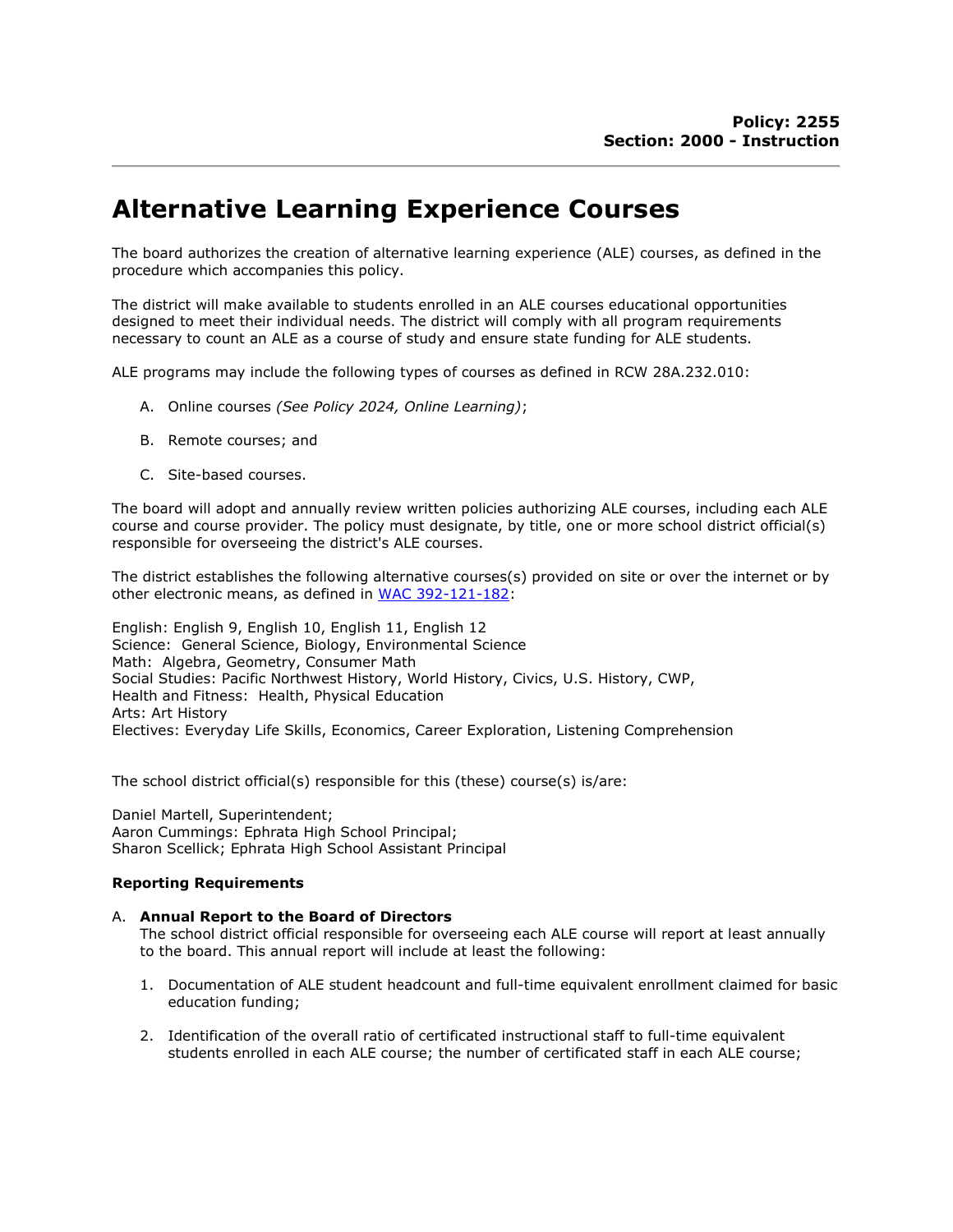# Alternative Learning Experience Courses

The board authorizes the creation of alternative learning experience (ALE) courses, as defined in the procedure which accompanies this policy.

The district will make available to students enrolled in an ALE courses educational opportunities designed to meet their individual needs. The district will comply with all program requirements necessary to count an ALE as a course of study and ensure state funding for ALE students.

ALE programs may include the following types of courses as defined in RCW 28A.232.010:

- A. Online courses (See Policy 2024, Online Learning);
- B. Remote courses; and
- C. Site-based courses.

The board will adopt and annually review written policies authorizing ALE courses, including each ALE course and course provider. The policy must designate, by title, one or more school district official(s) responsible for overseeing the district's ALE courses.

The district establishes the following alternative courses(s) provided on site or over the internet or by other electronic means, as defined in WAC 392-121-182:

English: English 9, English 10, English 11, English 12 Science: General Science, Biology, Environmental Science Math: Algebra, Geometry, Consumer Math Social Studies: Pacific Northwest History, World History, Civics, U.S. History, CWP, Health and Fitness: Health, Physical Education Arts: Art History Electives: Everyday Life Skills, Economics, Career Exploration, Listening Comprehension

The school district official(s) responsible for this (these) course(s) is/are:

Daniel Martell, Superintendent; Aaron Cummings: Ephrata High School Principal; Sharon Scellick; Ephrata High School Assistant Principal

#### Reporting Requirements

#### A. Annual Report to the Board of Directors

The school district official responsible for overseeing each ALE course will report at least annually to the board. This annual report will include at least the following:

- 1. Documentation of ALE student headcount and full-time equivalent enrollment claimed for basic education funding;
- 2. Identification of the overall ratio of certificated instructional staff to full-time equivalent students enrolled in each ALE course; the number of certificated staff in each ALE course;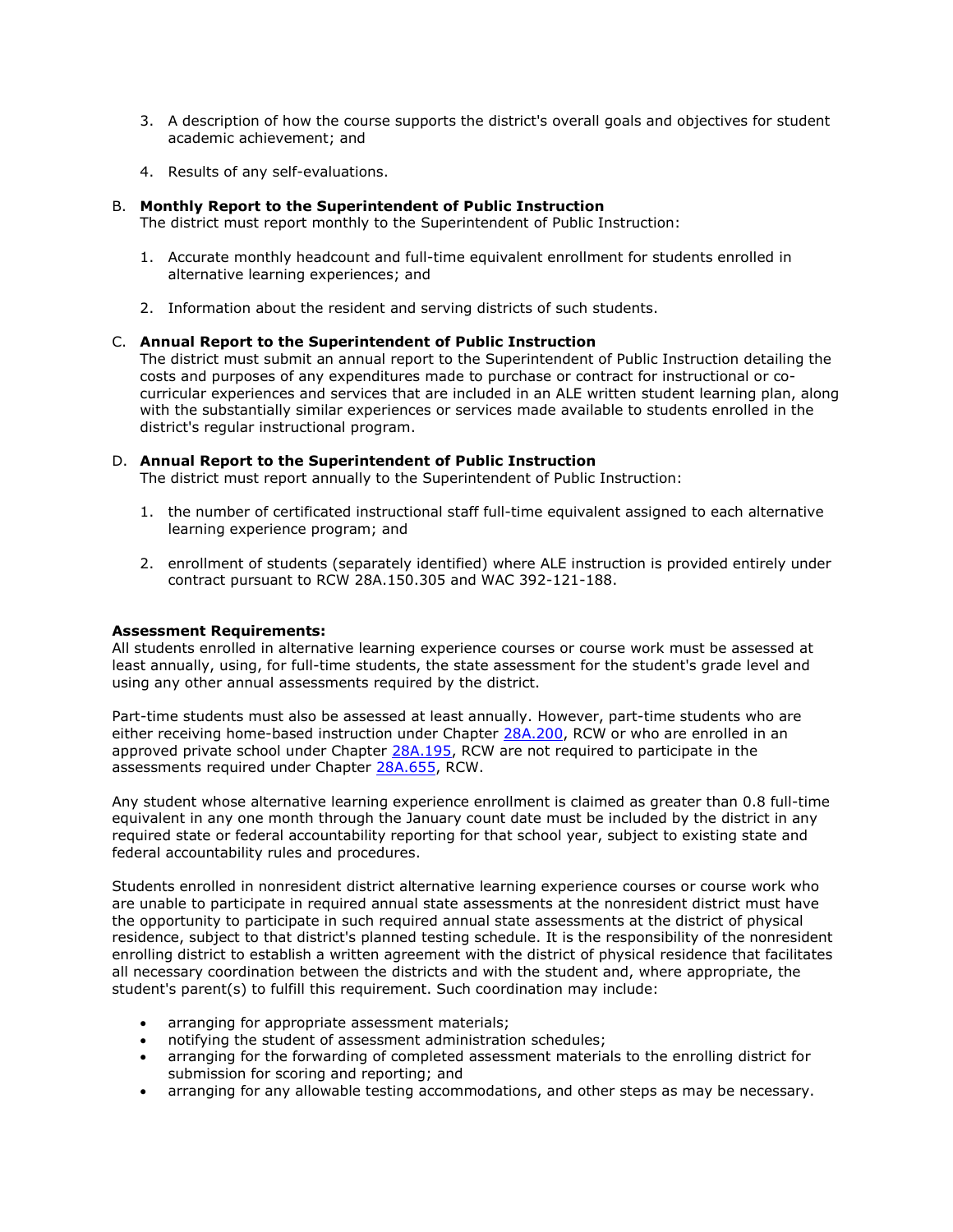- 3. A description of how the course supports the district's overall goals and objectives for student academic achievement; and
- 4. Results of any self-evaluations.

#### B. Monthly Report to the Superintendent of Public Instruction

The district must report monthly to the Superintendent of Public Instruction:

- 1. Accurate monthly headcount and full-time equivalent enrollment for students enrolled in alternative learning experiences; and
- 2. Information about the resident and serving districts of such students.

#### C. Annual Report to the Superintendent of Public Instruction

The district must submit an annual report to the Superintendent of Public Instruction detailing the costs and purposes of any expenditures made to purchase or contract for instructional or cocurricular experiences and services that are included in an ALE written student learning plan, along with the substantially similar experiences or services made available to students enrolled in the district's regular instructional program.

#### D. Annual Report to the Superintendent of Public Instruction

The district must report annually to the Superintendent of Public Instruction:

- 1. the number of certificated instructional staff full-time equivalent assigned to each alternative learning experience program; and
- 2. enrollment of students (separately identified) where ALE instruction is provided entirely under contract pursuant to RCW 28A.150.305 and WAC 392-121-188.

#### Assessment Requirements:

All students enrolled in alternative learning experience courses or course work must be assessed at least annually, using, for full-time students, the state assessment for the student's grade level and using any other annual assessments required by the district.

Part-time students must also be assessed at least annually. However, part-time students who are either receiving home-based instruction under Chapter 28A.200, RCW or who are enrolled in an approved private school under Chapter 28A.195, RCW are not required to participate in the assessments required under Chapter 28A.655, RCW.

Any student whose alternative learning experience enrollment is claimed as greater than 0.8 full-time equivalent in any one month through the January count date must be included by the district in any required state or federal accountability reporting for that school year, subject to existing state and federal accountability rules and procedures.

Students enrolled in nonresident district alternative learning experience courses or course work who are unable to participate in required annual state assessments at the nonresident district must have the opportunity to participate in such required annual state assessments at the district of physical residence, subject to that district's planned testing schedule. It is the responsibility of the nonresident enrolling district to establish a written agreement with the district of physical residence that facilitates all necessary coordination between the districts and with the student and, where appropriate, the student's parent(s) to fulfill this requirement. Such coordination may include:

- arranging for appropriate assessment materials;
- notifying the student of assessment administration schedules;
- arranging for the forwarding of completed assessment materials to the enrolling district for submission for scoring and reporting; and
- arranging for any allowable testing accommodations, and other steps as may be necessary.